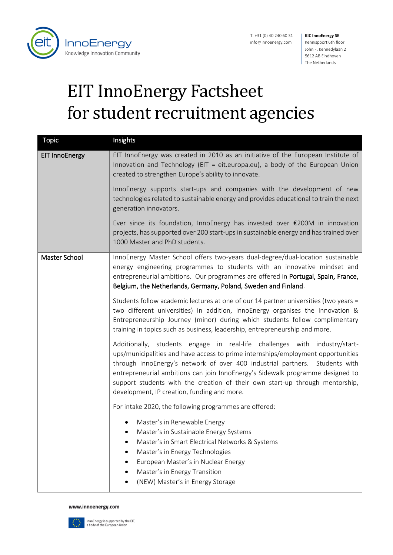

T. +31 (0) 40 240 60 31 info@innoenergy.com

## **KIC InnoEnergy SE** Kennispoort 6th floor John F. Kennedylaan 2 5612 AB Eindhoven The Netherlands

## EIT InnoEnergy Factsheet for student recruitment agencies

| <b>Topic</b>          | Insights                                                                                                                                                                                                                                                                                                                                                                                                                                                       |
|-----------------------|----------------------------------------------------------------------------------------------------------------------------------------------------------------------------------------------------------------------------------------------------------------------------------------------------------------------------------------------------------------------------------------------------------------------------------------------------------------|
| <b>EIT InnoEnergy</b> | EIT InnoEnergy was created in 2010 as an initiative of the European Institute of<br>Innovation and Technology (EIT = eit.europa.eu), a body of the European Union<br>created to strengthen Europe's ability to innovate.                                                                                                                                                                                                                                       |
|                       | InnoEnergy supports start-ups and companies with the development of new<br>technologies related to sustainable energy and provides educational to train the next<br>generation innovators.                                                                                                                                                                                                                                                                     |
|                       | Ever since its foundation, InnoEnergy has invested over $\epsilon$ 200M in innovation<br>projects, has supported over 200 start-ups in sustainable energy and has trained over<br>1000 Master and PhD students.                                                                                                                                                                                                                                                |
| Master School         | InnoEnergy Master School offers two-years dual-degree/dual-location sustainable<br>energy engineering programmes to students with an innovative mindset and<br>entrepreneurial ambitions. Our programmes are offered in Portugal, Spain, France,<br>Belgium, the Netherlands, Germany, Poland, Sweden and Finland.                                                                                                                                             |
|                       | Students follow academic lectures at one of our 14 partner universities (two years =<br>two different universities) In addition, InnoEnergy organises the Innovation &<br>Entrepreneurship Journey (minor) during which students follow complimentary<br>training in topics such as business, leadership, entrepreneurship and more.                                                                                                                           |
|                       | Additionally, students engage in real-life challenges with industry/start-<br>ups/municipalities and have access to prime internships/employment opportunities<br>through InnoEnergy's network of over 400 industrial partners. Students with<br>entrepreneurial ambitions can join InnoEnergy's Sidewalk programme designed to<br>support students with the creation of their own start-up through mentorship,<br>development, IP creation, funding and more. |
|                       | For intake 2020, the following programmes are offered:                                                                                                                                                                                                                                                                                                                                                                                                         |
|                       | Master's in Renewable Energy<br>Master's in Sustainable Energy Systems<br>Master's in Smart Electrical Networks & Systems<br>Master's in Energy Technologies<br>European Master's in Nuclear Energy<br>Master's in Energy Transition<br>(NEW) Master's in Energy Storage                                                                                                                                                                                       |

## www.innoenergy.com

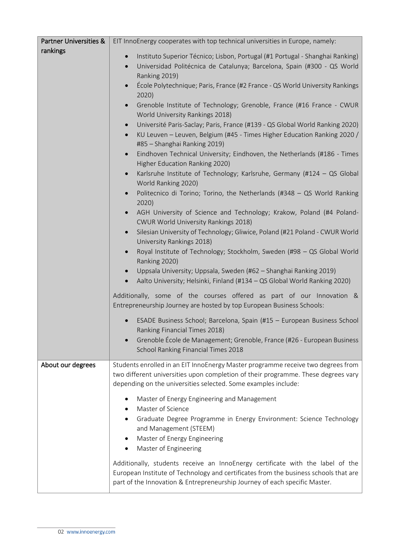| <b>Partner Universities &amp;</b> | EIT InnoEnergy cooperates with top technical universities in Europe, namely:                                                                                                                                                                                                                                                                                                                                                                                                                                                                                                                                                                                                                                                                                                                                                                                                                                                                                                                                                                                                                                                                                                                                                                                                                                                                                                                                                                                                                                                                                                                                                                                                                                                                             |
|-----------------------------------|----------------------------------------------------------------------------------------------------------------------------------------------------------------------------------------------------------------------------------------------------------------------------------------------------------------------------------------------------------------------------------------------------------------------------------------------------------------------------------------------------------------------------------------------------------------------------------------------------------------------------------------------------------------------------------------------------------------------------------------------------------------------------------------------------------------------------------------------------------------------------------------------------------------------------------------------------------------------------------------------------------------------------------------------------------------------------------------------------------------------------------------------------------------------------------------------------------------------------------------------------------------------------------------------------------------------------------------------------------------------------------------------------------------------------------------------------------------------------------------------------------------------------------------------------------------------------------------------------------------------------------------------------------------------------------------------------------------------------------------------------------|
| rankings                          | Instituto Superior Técnico; Lisbon, Portugal (#1 Portugal - Shanghai Ranking)<br>$\bullet$<br>Universidad Politécnica de Catalunya; Barcelona, Spain (#300 - QS World<br>$\bullet$<br>Ranking 2019)<br>École Polytechnique; Paris, France (#2 France - QS World University Rankings<br>2020)<br>Grenoble Institute of Technology; Grenoble, France (#16 France - CWUR<br>$\bullet$<br>World University Rankings 2018)<br>Université Paris-Saclay; Paris, France (#139 - QS Global World Ranking 2020)<br>$\bullet$<br>KU Leuven - Leuven, Belgium (#45 - Times Higher Education Ranking 2020 /<br>$\bullet$<br>#85 - Shanghai Ranking 2019)<br>Eindhoven Technical University; Eindhoven, the Netherlands (#186 - Times<br>$\bullet$<br>Higher Education Ranking 2020)<br>Karlsruhe Institute of Technology; Karlsruhe, Germany (#124 - QS Global<br>World Ranking 2020)<br>Politecnico di Torino; Torino, the Netherlands (#348 - QS World Ranking<br>2020)<br>AGH University of Science and Technology; Krakow, Poland (#4 Poland-<br>CWUR World University Rankings 2018)<br>Silesian University of Technology; Gliwice, Poland (#21 Poland - CWUR World<br>$\bullet$<br>University Rankings 2018)<br>Royal Institute of Technology; Stockholm, Sweden (#98 - QS Global World<br>$\bullet$<br>Ranking 2020)<br>Uppsala University; Uppsala, Sweden (#62 - Shanghai Ranking 2019)<br>$\bullet$<br>Aalto University; Helsinki, Finland (#134 - QS Global World Ranking 2020)<br>$\bullet$<br>Additionally, some of the courses offered as part of our Innovation &<br>Entrepreneurship Journey are hosted by top European Business Schools:<br>ESADE Business School; Barcelona, Spain (#15 - European Business School<br>Ranking Financial Times 2018) |
|                                   | Grenoble École de Management; Grenoble, France (#26 - European Business<br>School Ranking Financial Times 2018                                                                                                                                                                                                                                                                                                                                                                                                                                                                                                                                                                                                                                                                                                                                                                                                                                                                                                                                                                                                                                                                                                                                                                                                                                                                                                                                                                                                                                                                                                                                                                                                                                           |
| About our degrees                 | Students enrolled in an EIT InnoEnergy Master programme receive two degrees from<br>two different universities upon completion of their programme. These degrees vary<br>depending on the universities selected. Some examples include:<br>Master of Energy Engineering and Management<br>Master of Science<br>Graduate Degree Programme in Energy Environment: Science Technology<br>and Management (STEEM)<br>Master of Energy Engineering<br>Master of Engineering<br>Additionally, students receive an InnoEnergy certificate with the label of the                                                                                                                                                                                                                                                                                                                                                                                                                                                                                                                                                                                                                                                                                                                                                                                                                                                                                                                                                                                                                                                                                                                                                                                                  |
|                                   | European Institute of Technology and certificates from the business schools that are<br>part of the Innovation & Entrepreneurship Journey of each specific Master.                                                                                                                                                                                                                                                                                                                                                                                                                                                                                                                                                                                                                                                                                                                                                                                                                                                                                                                                                                                                                                                                                                                                                                                                                                                                                                                                                                                                                                                                                                                                                                                       |